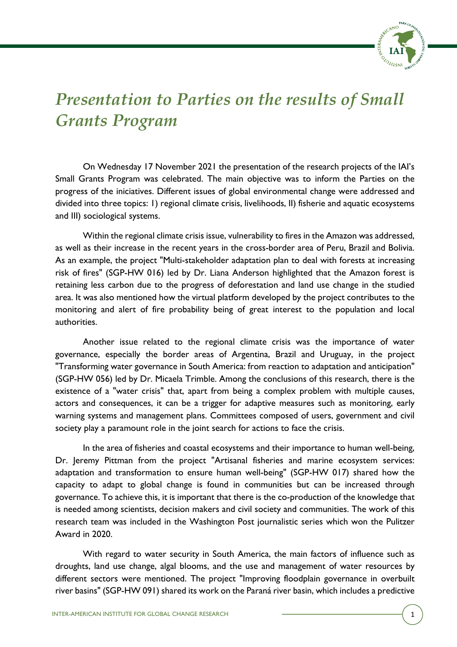

## *Presentation to Parties on the results of Small Grants Program*

On Wednesday 17 November 2021 the presentation of the research projects of the IAI's Small Grants Program was celebrated. The main objective was to inform the Parties on the progress of the iniciatives. Different issues of global environmental change were addressed and divided into three topics: 1) regional climate crisis, livelihoods, II) fisherie and aquatic ecosystems and III) sociological systems.

Within the regional climate crisis issue, vulnerability to fires in the Amazon was addressed, as well as their increase in the recent years in the cross-border area of Peru, Brazil and Bolivia. As an example, the project "Multi-stakeholder adaptation plan to deal with forests at increasing risk of fires" (SGP-HW 016) led by Dr. Liana Anderson highlighted that the Amazon forest is retaining less carbon due to the progress of deforestation and land use change in the studied area. It was also mentioned how the virtual platform developed by the project contributes to the monitoring and alert of fire probability being of great interest to the population and local authorities.

Another issue related to the regional climate crisis was the importance of water governance, especially the border areas of Argentina, Brazil and Uruguay, in the project "Transforming water governance in South America: from reaction to adaptation and anticipation" (SGP-HW 056) led by Dr. Micaela Trimble. Among the conclusions of this research, there is the existence of a "water crisis" that, apart from being a complex problem with multiple causes, actors and consequences, it can be a trigger for adaptive measures such as monitoring, early warning systems and management plans. Committees composed of users, government and civil society play a paramount role in the joint search for actions to face the crisis.

In the area of fisheries and coastal ecosystems and their importance to human well-being, Dr. Jeremy Pittman from the project "Artisanal fisheries and marine ecosystem services: adaptation and transformation to ensure human well-being" (SGP-HW 017) shared how the capacity to adapt to global change is found in communities but can be increased through governance. To achieve this, it is important that there is the co-production of the knowledge that is needed among scientists, decision makers and civil society and communities. The work of this research team was included in the Washington Post journalistic series which won the Pulitzer Award in 2020.

With regard to water security in South America, the main factors of influence such as droughts, land use change, algal blooms, and the use and management of water resources by different sectors were mentioned. The project "Improving floodplain governance in overbuilt river basins" (SGP-HW 091) shared its work on the Paraná river basin, which includes a predictive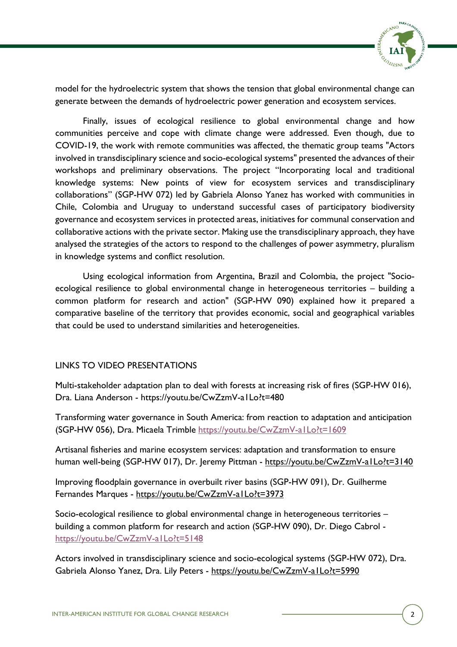

model for the hydroelectric system that shows the tension that global environmental change can generate between the demands of hydroelectric power generation and ecosystem services.

Finally, issues of ecological resilience to global environmental change and how communities perceive and cope with climate change were addressed. Even though, due to COVID-19, the work with remote communities was affected, the thematic group teams "Actors involved in transdisciplinary science and socio-ecological systems" presented the advances of their workshops and preliminary observations. The project "Incorporating local and traditional knowledge systems: New points of view for ecosystem services and transdisciplinary collaborations" (SGP-HW 072) led by Gabriela Alonso Yanez has worked with communities in Chile, Colombia and Uruguay to understand successful cases of participatory biodiversity governance and ecosystem services in protected areas, initiatives for communal conservation and collaborative actions with the private sector. Making use the transdisciplinary approach, they have analysed the strategies of the actors to respond to the challenges of power asymmetry, pluralism in knowledge systems and conflict resolution.

Using ecological information from Argentina, Brazil and Colombia, the project "Socioecological resilience to global environmental change in heterogeneous territories – building a common platform for research and action" (SGP-HW 090) explained how it prepared a comparative baseline of the territory that provides economic, social and geographical variables that could be used to understand similarities and heterogeneities.

## LINKS TO VIDEO PRESENTATIONS

Multi-stakeholder adaptation plan to deal with forests at increasing risk of fires (SGP-HW 016), Dra. Liana Anderson - https://youtu.be/CwZzmV-a1Lo?t=480

Transforming water governance in South America: from reaction to adaptation and anticipation (SGP-HW 056), Dra. Micaela Trimble https://youtu.be/CwZzmV-a1Lo?t=1609

Artisanal fisheries and marine ecosystem services: adaptation and transformation to ensure human well-being (SGP-HW 017), Dr. Jeremy Pittman - https://youtu.be/CwZzmV-a1Lo?t=3140

Improving floodplain governance in overbuilt river basins (SGP-HW 091), Dr. Guilherme Fernandes Marques - https://youtu.be/CwZzmV-a1Lo?t=3973

Socio-ecological resilience to global environmental change in heterogeneous territories – building a common platform for research and action (SGP-HW 090), Dr. Diego Cabrol https://youtu.be/CwZzmV-a1Lo?t=5148

Actors involved in transdisciplinary science and socio-ecological systems (SGP-HW 072), Dra. Gabriela Alonso Yanez, Dra. Lily Peters - https://youtu.be/CwZzmV-a1Lo?t=5990